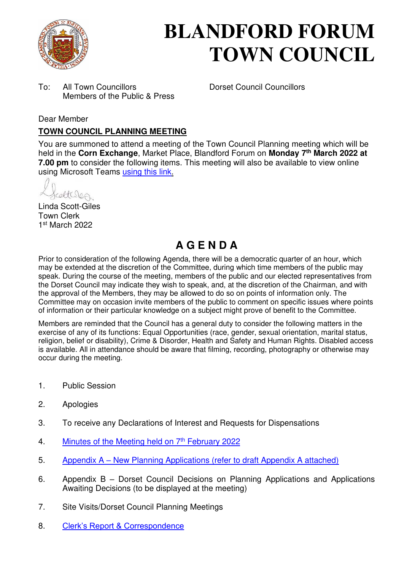

# **BLANDFORD FORUM TOWN COUNCIL**

To: All Town Councillors Dorset Council Councillors Members of the Public & Press

#### Dear Member

### **TOWN COUNCIL PLANNING MEETING**

You are summoned to attend a meeting of the Town Council Planning meeting which will be held in the **Corn Exchange**, Market Place, Blandford Forum on **Monday 7th March 2022 at 7.00 pm** to consider the following items. This meeting will also be available to view online using Microsoft Teams [using this link.](https://teams.microsoft.com/l/meetup-join/19%3a2cb1b1f9de074efdad40308940ab9ba0%40thread.tacv2/1637587280315?context=%7b%22Tid%22%3a%223cd8f2fb-4c45-4162-86f1-fb87b5f6a138%22%2c%22Oid%22%3a%2265e5950c-ab1c-41cc-9090-4a755c733f54%22%7d)

celtures

Linda Scott-Giles Town Clerk 1 st March 2022

# **A G E N D A**

Prior to consideration of the following Agenda, there will be a democratic quarter of an hour, which may be extended at the discretion of the Committee, during which time members of the public may speak. During the course of the meeting, members of the public and our elected representatives from the Dorset Council may indicate they wish to speak, and, at the discretion of the Chairman, and with the approval of the Members, they may be allowed to do so on points of information only. The Committee may on occasion invite members of the public to comment on specific issues where points of information or their particular knowledge on a subject might prove of benefit to the Committee.

Members are reminded that the Council has a general duty to consider the following matters in the exercise of any of its functions: Equal Opportunities (race, gender, sexual orientation, marital status, religion, belief or disability), Crime & Disorder, Health and Safety and Human Rights. Disabled access is available. All in attendance should be aware that filming, recording, photography or otherwise may occur during the meeting.

- 1. Public Session
- 2. Apologies
- 3. To receive any Declarations of Interest and Requests for Dispensations
- 4. [Minutes of the Meeting held on 7](https://blandfordforum-tc.gov.uk/wp-content/uploads/2022/02/070222.pdf)<sup>th</sup> February 2022
- 5. Appendix A – [New Planning Applications \(refer to draft Appendix A attached\)](#page-2-0)
- 6. Appendix B Dorset Council Decisions on Planning Applications and Applications Awaiting Decisions (to be displayed at the meeting)
- 7. Site Visits/Dorset Council Planning Meetings
- 8. [Clerk's Report & Correspondence](#page-4-0)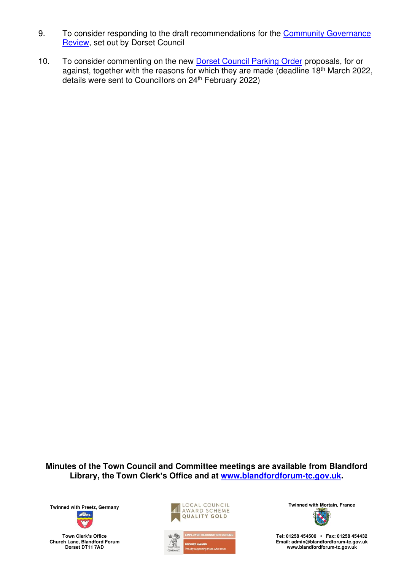- 9. To consider responding to the draft recommendations for the [Community Governance](https://www.dorsetcouncil.gov.uk/councillors-committees-elections/elections-and-voting/community-governance-review)  [Review,](https://www.dorsetcouncil.gov.uk/councillors-committees-elections/elections-and-voting/community-governance-review) set out by Dorset Council
- 10. To consider commenting on the new **Dorset Council Parking Order** proposals, for or against, together with the reasons for which they are made (deadline 18th March 2022, details were sent to Councillors on 24th February 2022)

**Minutes of the Town Council and Committee meetings are available from Blandford Library, the Town Clerk's Office and at [www.blandfordforum-tc.gov.uk.](http://www.blandfordforum-tc.gov.uk/)** 

**Town Clerk's Office Church Lane, Blandford Forum Dorset DT11 7AD**





**Tel: 01258 454500 • Fax: 01258 454432 Email: admin@blandfordforum-tc.gov.uk [www.blandfordforum-tc.gov.uk](http://www.blandfordforum-tc.gov.uk/)**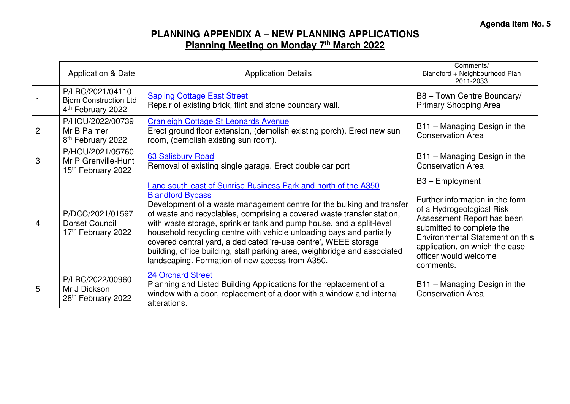## **PLANNING APPENDIX A – NEW PLANNING APPLICATIONS Planning Meeting on Monday 7th March 2022**

<span id="page-2-0"></span>

|                | Application & Date                                                                 | <b>Application Details</b>                                                                                                                                                                                                                                                                                                                                                                                                                                                                                                                                                                             | Comments/<br>Blandford + Neighbourhood Plan<br>2011-2033                                                                                                                                                                                              |
|----------------|------------------------------------------------------------------------------------|--------------------------------------------------------------------------------------------------------------------------------------------------------------------------------------------------------------------------------------------------------------------------------------------------------------------------------------------------------------------------------------------------------------------------------------------------------------------------------------------------------------------------------------------------------------------------------------------------------|-------------------------------------------------------------------------------------------------------------------------------------------------------------------------------------------------------------------------------------------------------|
|                | P/LBC/2021/04110<br><b>Bjorn Construction Ltd</b><br>4 <sup>th</sup> February 2022 | <b>Sapling Cottage East Street</b><br>Repair of existing brick, flint and stone boundary wall.                                                                                                                                                                                                                                                                                                                                                                                                                                                                                                         | B8 - Town Centre Boundary/<br><b>Primary Shopping Area</b>                                                                                                                                                                                            |
| $\overline{2}$ | P/HOU/2022/00739<br>Mr B Palmer<br>8 <sup>th</sup> February 2022                   | <b>Cranleigh Cottage St Leonards Avenue</b><br>Erect ground floor extension, (demolish existing porch). Erect new sun<br>room, (demolish existing sun room).                                                                                                                                                                                                                                                                                                                                                                                                                                           | B11 - Managing Design in the<br><b>Conservation Area</b>                                                                                                                                                                                              |
| 3              | P/HOU/2021/05760<br>Mr P Grenville-Hunt<br>15th February 2022                      | <b>63 Salisbury Road</b><br>Removal of existing single garage. Erect double car port                                                                                                                                                                                                                                                                                                                                                                                                                                                                                                                   | B11 - Managing Design in the<br><b>Conservation Area</b>                                                                                                                                                                                              |
| 4              | P/DCC/2021/01597<br>Dorset Council<br>17th February 2022                           | <b>Land south-east of Sunrise Business Park and north of the A350</b><br><b>Blandford Bypass</b><br>Development of a waste management centre for the bulking and transfer<br>of waste and recyclables, comprising a covered waste transfer station,<br>with waste storage, sprinkler tank and pump house, and a split-level<br>household recycling centre with vehicle unloading bays and partially<br>covered central yard, a dedicated 're-use centre', WEEE storage<br>building, office building, staff parking area, weighbridge and associated<br>landscaping. Formation of new access from A350. | B3 - Employment<br>Further information in the form<br>of a Hydrogeological Risk<br>Assessment Report has been<br>submitted to complete the<br>Environmental Statement on this<br>application, on which the case<br>officer would welcome<br>comments. |
| 5              | P/LBC/2022/00960<br>Mr J Dickson<br>28th February 2022                             | <b>24 Orchard Street</b><br>Planning and Listed Building Applications for the replacement of a<br>window with a door, replacement of a door with a window and internal<br>alterations.                                                                                                                                                                                                                                                                                                                                                                                                                 | B11 - Managing Design in the<br><b>Conservation Area</b>                                                                                                                                                                                              |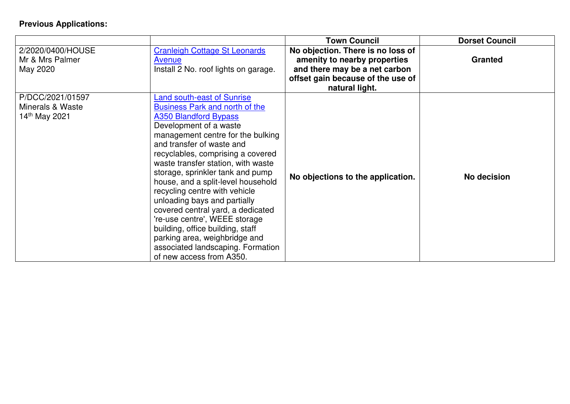## **Previous Applications:**

|                                                                   |                                                                                                                                                                                                                                                                                                                                                                                                                                                                                                                                                                                                                                   | <b>Town Council</b>                                                                                                                                       | <b>Dorset Council</b> |
|-------------------------------------------------------------------|-----------------------------------------------------------------------------------------------------------------------------------------------------------------------------------------------------------------------------------------------------------------------------------------------------------------------------------------------------------------------------------------------------------------------------------------------------------------------------------------------------------------------------------------------------------------------------------------------------------------------------------|-----------------------------------------------------------------------------------------------------------------------------------------------------------|-----------------------|
| 2/2020/0400/HOUSE<br>Mr & Mrs Palmer<br>May 2020                  | <b>Cranleigh Cottage St Leonards</b><br>Avenue<br>Install 2 No. roof lights on garage.                                                                                                                                                                                                                                                                                                                                                                                                                                                                                                                                            | No objection. There is no loss of<br>amenity to nearby properties<br>and there may be a net carbon<br>offset gain because of the use of<br>natural light. | <b>Granted</b>        |
| P/DCC/2021/01597<br>Minerals & Waste<br>14 <sup>th</sup> May 2021 | <b>Land south-east of Sunrise</b><br>Business Park and north of the<br><b>A350 Blandford Bypass</b><br>Development of a waste<br>management centre for the bulking<br>and transfer of waste and<br>recyclables, comprising a covered<br>waste transfer station, with waste<br>storage, sprinkler tank and pump<br>house, and a split-level household<br>recycling centre with vehicle<br>unloading bays and partially<br>covered central yard, a dedicated<br>'re-use centre', WEEE storage<br>building, office building, staff<br>parking area, weighbridge and<br>associated landscaping. Formation<br>of new access from A350. | No objections to the application.                                                                                                                         | No decision           |